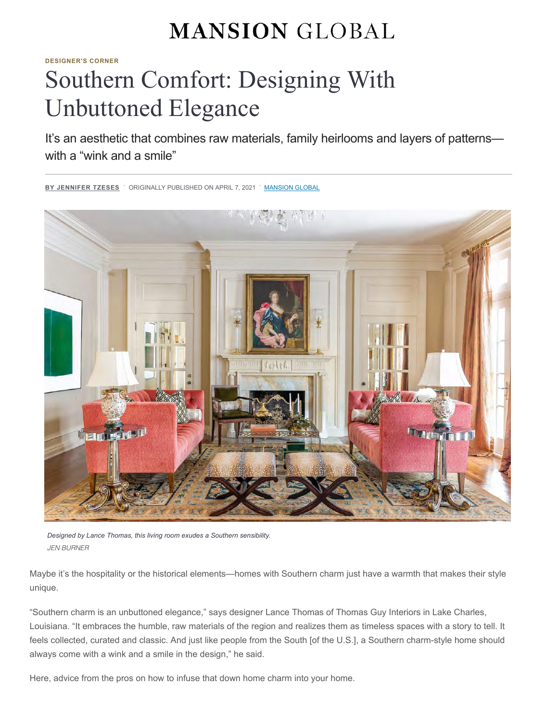## **MANSION GLOBAL**

**[DESIGNER'S CORNER](https://www.mansionglobal.com/luxury-real-estate-news/designers-corner)**

# Southern Comfort: Designing With Unbuttoned Elegance

It's an aesthetic that combines raw materials, family heirlooms and layers of patterns with a "wink and a smile"



*Designed by Lance Thomas, this living room exudes a Southern sensibility.* JEN BURNER

Maybe it's the hospitality or the historical elements—homes with Southern charm just have a warmth that makes their style unique.

"Southern charm is an unbuttoned elegance," says designer Lance Thomas of Thomas Guy Interiors in Lake Charles, Louisiana. "It embraces the humble, raw materials of the region and realizes them as timeless spaces with a story to tell. It feels collected, curated and classic. And just like people from the South [of the U.S.], a Southern charm-style home should always come with a wink and a smile in the design," he said.

Here, advice from the pros on how to infuse that down home charm into your home.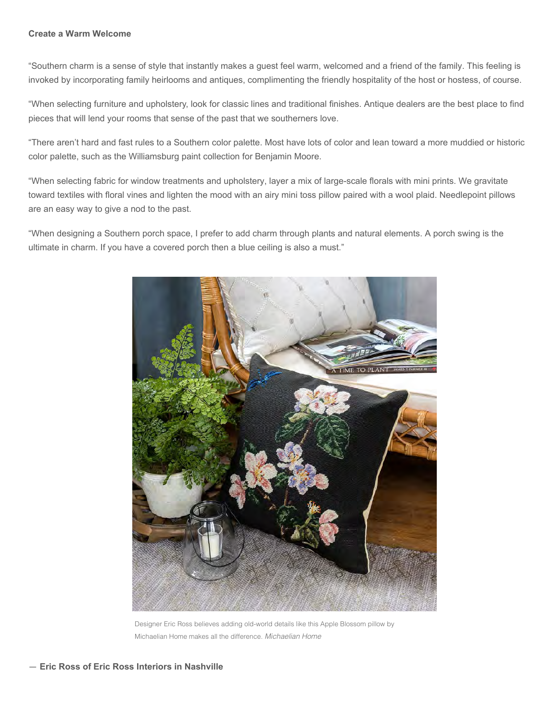#### **Create a Warm Welcome**

"Southern charm is a sense of style that instantly makes a guest feel warm, welcomed and a friend of the family. This feeling is invoked by incorporating family heirlooms and antiques, complimenting the friendly hospitality of the host or hostess, of course.

"When selecting furniture and upholstery, look for classic lines and traditional finishes. Antique dealers are the best place to find pieces that will lend your rooms that sense of the past that we southerners love.

"There aren't hard and fast rules to a Southern color palette. Most have lots of color and lean toward a more muddied or historic color palette, such as the Williamsburg paint collection for Benjamin Moore.

"When selecting fabric for window treatments and upholstery, layer a mix of large-scale florals with mini prints. We gravitate toward textiles with floral vines and lighten the mood with an airy mini toss pillow paired with a wool plaid. Needlepoint pillows are an easy way to give a nod to the past.

"When designing a Southern porch space, I prefer to add charm through plants and natural elements. A porch swing is the ultimate in charm. If you have a covered porch then a blue ceiling is also a must."



Designer Eric Ross believes adding old-world details like this Apple Blossom pillow by Michaelian Home makes all the difference. Michaelian Home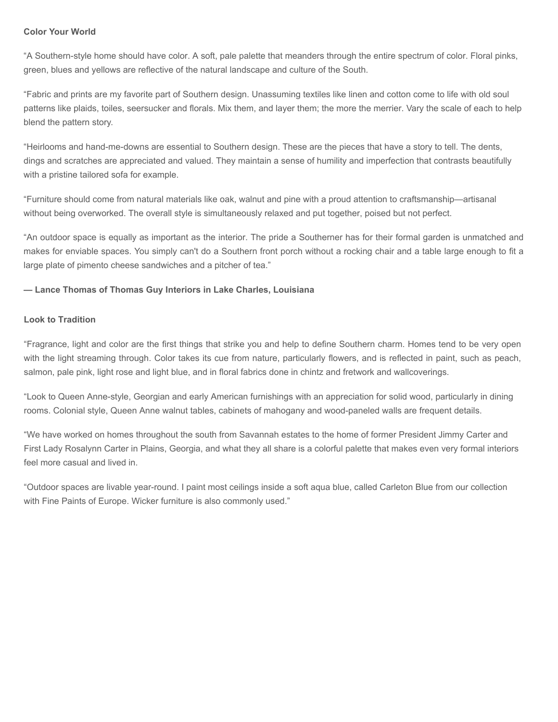### **Color Your World**

"A Southern-style home should have color. A soft, pale palette that meanders through the entire spectrum of color. Floral pinks, green, blues and yellows are reflective of the natural landscape and culture of the South.

"Fabric and prints are my favorite part of Southern design. Unassuming textiles like linen and cotton come to life with old soul patterns like plaids, toiles, seersucker and florals. Mix them, and layer them; the more the merrier. Vary the scale of each to help blend the pattern story.

"Heirlooms and hand-me-downs are essential to Southern design. These are the pieces that have a story to tell. The dents, dings and scratches are appreciated and valued. They maintain a sense of humility and imperfection that contrasts beautifully with a pristine tailored sofa for example.

"Furniture should come from natural materials like oak, walnut and pine with a proud attention to craftsmanship—artisanal without being overworked. The overall style is simultaneously relaxed and put together, poised but not perfect.

"An outdoor space is equally as important as the interior. The pride a Southerner has for their formal garden is unmatched and makes for enviable spaces. You simply can't do a Southern front porch without a rocking chair and a table large enough to fit a large plate of pimento cheese sandwiches and a pitcher of tea."

### **— Lance Thomas of Thomas Guy Interiors in Lake Charles, Louisiana**

#### **Look to Tradition**

"Fragrance, light and color are the first things that strike you and help to define Southern charm. Homes tend to be very open with the light streaming through. Color takes its cue from nature, particularly flowers, and is reflected in paint, such as peach, salmon, pale pink, light rose and light blue, and in floral fabrics done in chintz and fretwork and wallcoverings.

"Look to Queen Anne-style, Georgian and early American furnishings with an appreciation for solid wood, particularly in dining rooms. Colonial style, Queen Anne walnut tables, cabinets of mahogany and wood-paneled walls are frequent details.

"We have worked on homes throughout the south from Savannah estates to the home of former President Jimmy Carter and First Lady Rosalynn Carter in Plains, Georgia, and what they all share is a colorful palette that makes even very formal interiors feel more casual and lived in.

"Outdoor spaces are livable year-round. I paint most ceilings inside a soft aqua blue, called Carleton Blue from our collection with Fine Paints of Europe. Wicker furniture is also commonly used."